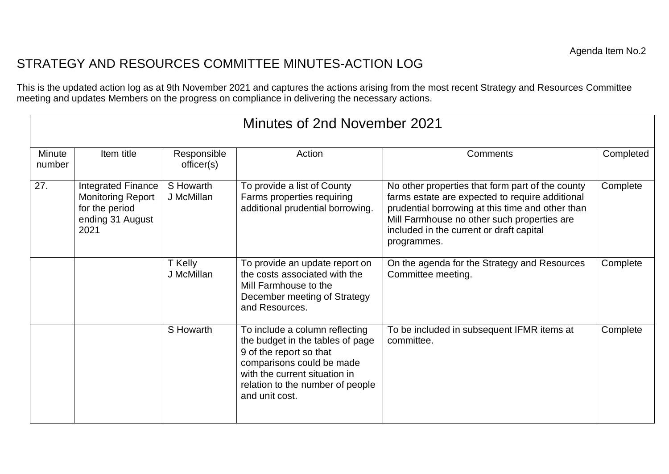## STRATEGY AND RESOURCES COMMITTEE MINUTES-ACTION LOG

This is the updated action log as at 9th November 2021 and captures the actions arising from the most recent Strategy and Resources Committee meeting and updates Members on the progress on compliance in delivering the necessary actions.

| Minutes of 2nd November 2021 |                                                                                              |                           |                                                                                                                                                                                                                   |                                                                                                                                                                                                                                                                   |           |  |  |  |  |
|------------------------------|----------------------------------------------------------------------------------------------|---------------------------|-------------------------------------------------------------------------------------------------------------------------------------------------------------------------------------------------------------------|-------------------------------------------------------------------------------------------------------------------------------------------------------------------------------------------------------------------------------------------------------------------|-----------|--|--|--|--|
| Minute<br>number             | Item title                                                                                   | Responsible<br>officer(s) | Action                                                                                                                                                                                                            | Comments                                                                                                                                                                                                                                                          | Completed |  |  |  |  |
| 27.                          | Integrated Finance<br><b>Monitoring Report</b><br>for the period<br>ending 31 August<br>2021 | S Howarth<br>J McMillan   | To provide a list of County<br>Farms properties requiring<br>additional prudential borrowing.                                                                                                                     | No other properties that form part of the county<br>farms estate are expected to require additional<br>prudential borrowing at this time and other than<br>Mill Farmhouse no other such properties are<br>included in the current or draft capital<br>programmes. | Complete  |  |  |  |  |
|                              |                                                                                              | T Kelly<br>J McMillan     | To provide an update report on<br>the costs associated with the<br>Mill Farmhouse to the<br>December meeting of Strategy<br>and Resources.                                                                        | On the agenda for the Strategy and Resources<br>Committee meeting.                                                                                                                                                                                                | Complete  |  |  |  |  |
|                              |                                                                                              | S Howarth                 | To include a column reflecting<br>the budget in the tables of page<br>9 of the report so that<br>comparisons could be made<br>with the current situation in<br>relation to the number of people<br>and unit cost. | To be included in subsequent IFMR items at<br>committee.                                                                                                                                                                                                          | Complete  |  |  |  |  |